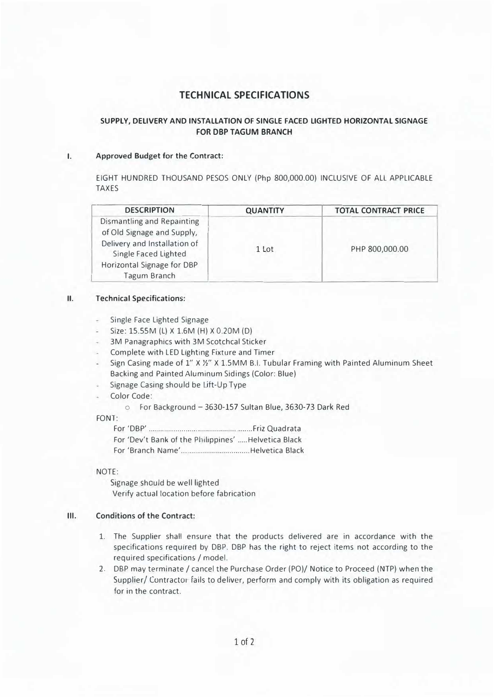# **TECHNICAL SPECIFICATIONS**

## **SUPPLY, DELIVERY AND INSTALLATION OF SINGLE FACED LIGHTED HORIZONTAL SIGNAGE FOR DBP TAGUM BRANCH**

#### **I.Approved Budget for the Contract:**

EIGHT HUNDRED THOUSAND PESOS ONLY (Php 800,000.00) INCLUSIVE OF All APPLICABLE TAXES

| <b>DESCRIPTION</b>                                                                                                                                                    | <b>QUANTITY</b> | <b>TOTAL CONTRACT PRICE</b> |
|-----------------------------------------------------------------------------------------------------------------------------------------------------------------------|-----------------|-----------------------------|
| Dismantling and Repainting<br>of Old Signage and Supply,<br>Delivery and Installation of<br>Single Faced Lighted<br>Horizontal Signage for DBP<br><b>Tagum Branch</b> | 1 Lot           | PHP 800,000.00              |

#### **II. Technical Specifications:**

- Single Face Lighted Signage
- Size: 15.SSM (L) X 1.6M (H) X 0.20M (D)
- 3M Panagraphics with 3M Scotchcal Sticker
- Complete with LED Lighting Fixture and Timer
- Sign Casing made of 1" X %" X 1.5MM B.I. Tubular Framing with Painted Aluminum Sheet Backing and Painted Aluminum Sidings (Color: Blue)
- Signage Casing should be Lift-Up Type
- Color Code:

o For Background - 3630-157 Sultan Blue, 3630-73 Dark Red

FONT:

For 'DBP' ........................................... ....... Friz Quadrata For 'Dev't Bank of the Philippines' ..... Helvetica Black For 'Branch Name' .................................. Helvetica Black

#### NOTE:

Signage should be well lighted Verify actual location before fabrication

## **Ill. Conditions of the Contract:**

- 1. The Supplier shall ensure that the products delivered are in accordance with the specifications required by DBP. DBP has the right to reject items not according to the required specifications/ model.
- 2. DBP may terminate/ cancel the Purchase Order (PO)/ Notice to Proceed (NTP) when the Supplier/ Contractor fails to deliver, perform and comply with its obligation as required for in the contract.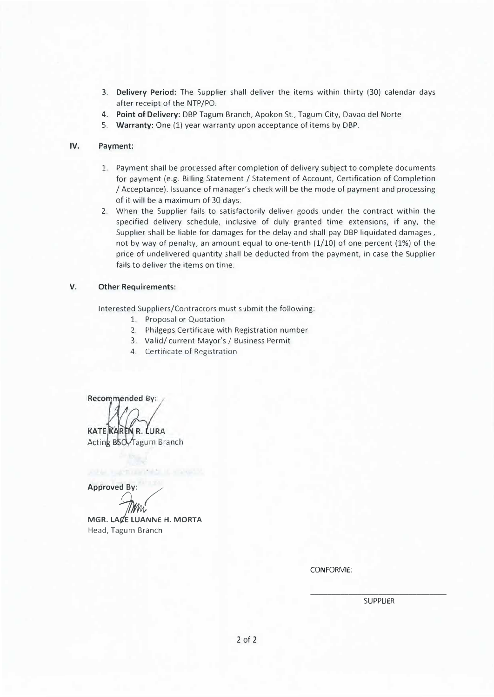- 3. **Delivery Period:** The Supplier shall deliver the items within thirty (30) calendar days after receipt of the NTP/PO.
- 4. **Point of Delivery:** DBP Tagum Branch, Apokon St., Tagum City, Davao del Norte
- 5. **Warranty:** One (1) year warranty upon acceptance of items by DBP.

### **IV. Payment:**

- 1. Payment shall be processed after completion of delivery subject to complete documents for payment (e.g. Billing Statement / Statement of Account, Certification of Completion / Acceptance). Issuance of manager's check will be the mode of payment and processing of it will be a maximum of 30 days.
- 2. When the Supplier fails to satisfactorily deliver goods under the contract within the specified delivery schedule, inclusive of duly granted time extensions, if any, the Supplier shall be liable for damages for the delay and shall pay DBP liquidated damages , not by way of penalty, an amount equal to one-tenth (1/10) of one percent (1%) of the price of undelivered quantity shall be deducted from the payment, in case the Supplier fails to deliver the items on time.

## **V. Other Requirements:**

Interested Suppliers/Contractors must submit the following:

- 1. Proposal or Quotation
- 2. Philgeps Certificate with Registration number
- 3. Valid/ current Mayor's/ Business Permit
- 4. Certificate of Registration

Recommended By:

KATE KAREN R. LURA Acting BSCY Tagum Branch

**Approved By:** 

MGR. LACE LUANNE H. MORTA Head, Tagum Branch

CONFORME:

\_\_\_\_\_\_\_\_\_\_\_\_\_\_\_\_\_\_\_\_\_\_\_\_\_\_\_\_\_\_\_\_ **SUPPLIER**